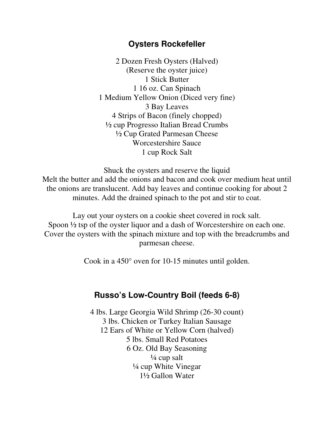## **Oysters Rockefeller**

2 Dozen Fresh Oysters (Halved) (Reserve the oyster juice) 1 Stick Butter 1 16 oz. Can Spinach 1 Medium Yellow Onion (Diced very fine) 3 Bay Leaves 4 Strips of Bacon (finely chopped) ½ cup Progresso Italian Bread Crumbs ½ Cup Grated Parmesan Cheese Worcestershire Sauce 1 cup Rock Salt

Shuck the oysters and reserve the liquid Melt the butter and add the onions and bacon and cook over medium heat until the onions are translucent. Add bay leaves and continue cooking for about 2 minutes. Add the drained spinach to the pot and stir to coat.

Lay out your oysters on a cookie sheet covered in rock salt. Spoon  $\frac{1}{2}$  tsp of the oyster liquor and a dash of Worcestershire on each one. Cover the oysters with the spinach mixture and top with the breadcrumbs and parmesan cheese.

Cook in a 450° oven for 10-15 minutes until golden.

## **Russo's Low-Country Boil (feeds 6-8)**

4 lbs. Large Georgia Wild Shrimp (26-30 count) 3 lbs. Chicken or Turkey Italian Sausage 12 Ears of White or Yellow Corn (halved) 5 lbs. Small Red Potatoes 6 Oz. Old Bay Seasoning  $\frac{1}{4}$  cup salt ¼ cup White Vinegar 1½ Gallon Water